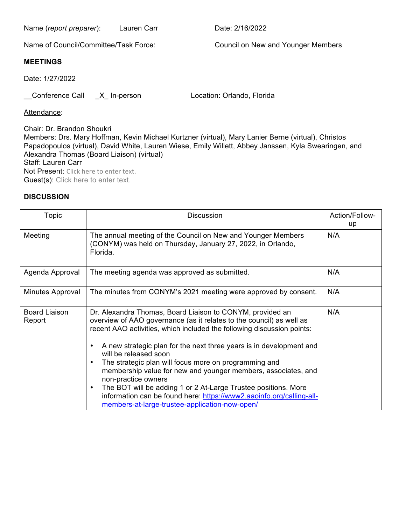Name (*report preparer*): Lauren Carr **Date: 2/16/2022** 

Name of Council/Committee/Task Force: Council on New and Younger Members

## **MEETINGS**

Date: 1/27/2022

\_\_Conference Call \_X\_ In-person Location: Orlando, Florida

Attendance:

Chair: Dr. Brandon Shoukri Members: Drs. Mary Hoffman, Kevin Michael Kurtzner (virtual), Mary Lanier Berne (virtual), Christos Papadopoulos (virtual), David White, Lauren Wiese, Emily Willett, Abbey Janssen, Kyla Swearingen, and Alexandra Thomas (Board Liaison) (virtual) Staff: Lauren Carr Not Present: Click here to enter text. Guest(s): Click here to enter text.

## **DISCUSSION**

| Topic                   | <b>Discussion</b>                                                                                                                                                                                                                                                                                                                                                                                                                                                                                                                                                                                                                                                     | Action/Follow-<br>up |
|-------------------------|-----------------------------------------------------------------------------------------------------------------------------------------------------------------------------------------------------------------------------------------------------------------------------------------------------------------------------------------------------------------------------------------------------------------------------------------------------------------------------------------------------------------------------------------------------------------------------------------------------------------------------------------------------------------------|----------------------|
| Meeting                 | The annual meeting of the Council on New and Younger Members<br>(CONYM) was held on Thursday, January 27, 2022, in Orlando,<br>Florida.                                                                                                                                                                                                                                                                                                                                                                                                                                                                                                                               | N/A                  |
| Agenda Approval         | The meeting agenda was approved as submitted.                                                                                                                                                                                                                                                                                                                                                                                                                                                                                                                                                                                                                         | N/A                  |
| Minutes Approval        | The minutes from CONYM's 2021 meeting were approved by consent.                                                                                                                                                                                                                                                                                                                                                                                                                                                                                                                                                                                                       | N/A                  |
| Board Liaison<br>Report | Dr. Alexandra Thomas, Board Liaison to CONYM, provided an<br>overview of AAO governance (as it relates to the council) as well as<br>recent AAO activities, which included the following discussion points:<br>A new strategic plan for the next three years is in development and<br>will be released soon<br>The strategic plan will focus more on programming and<br>membership value for new and younger members, associates, and<br>non-practice owners<br>The BOT will be adding 1 or 2 At-Large Trustee positions. More<br>$\bullet$<br>information can be found here: https://www2.aaoinfo.org/calling-all-<br>members-at-large-trustee-application-now-open/ | N/A                  |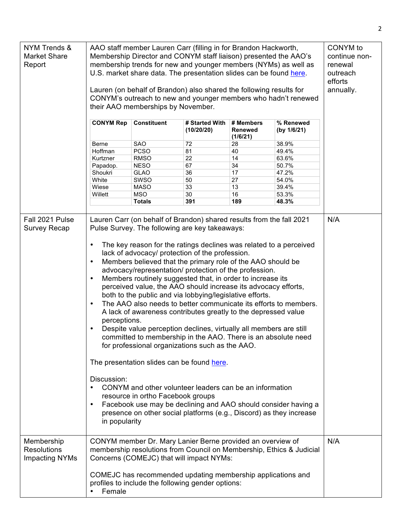| NYM Trends &<br>Market Share<br>Report                    | AAO staff member Lauren Carr (filling in for Brandon Hackworth,<br>Membership Director and CONYM staff liaison) presented the AAO's<br>membership trends for new and younger members (NYMs) as well as<br>U.S. market share data. The presentation slides can be found here.<br>Lauren (on behalf of Brandon) also shared the following results for<br>CONYM's outreach to new and younger members who hadn't renewed<br>their AAO memberships by November.                                                                                                                                                                                                                                                                                                                                                                                                                                                                                                                                                                                                                                                                                                                                                                                                                                                                        |                                                                                                                                             |                                                                                                                                                                                                                            | CONYM to<br>continue non-<br>renewal<br>outreach<br>efforts<br>annually.                       |                                                                                                  |     |
|-----------------------------------------------------------|------------------------------------------------------------------------------------------------------------------------------------------------------------------------------------------------------------------------------------------------------------------------------------------------------------------------------------------------------------------------------------------------------------------------------------------------------------------------------------------------------------------------------------------------------------------------------------------------------------------------------------------------------------------------------------------------------------------------------------------------------------------------------------------------------------------------------------------------------------------------------------------------------------------------------------------------------------------------------------------------------------------------------------------------------------------------------------------------------------------------------------------------------------------------------------------------------------------------------------------------------------------------------------------------------------------------------------|---------------------------------------------------------------------------------------------------------------------------------------------|----------------------------------------------------------------------------------------------------------------------------------------------------------------------------------------------------------------------------|------------------------------------------------------------------------------------------------|--------------------------------------------------------------------------------------------------|-----|
|                                                           | <b>CONYM Rep</b><br>Berne<br>Hoffman<br>Kurtzner<br>Papadop.<br>Shoukri<br>White<br>Wiese<br>Willett                                                                                                                                                                                                                                                                                                                                                                                                                                                                                                                                                                                                                                                                                                                                                                                                                                                                                                                                                                                                                                                                                                                                                                                                                               | <b>Constituent</b><br>SAO<br><b>PCSO</b><br><b>RMSO</b><br><b>NESO</b><br><b>GLAO</b><br>SWSO<br><b>MASO</b><br><b>MSO</b><br><b>Totals</b> | # Started With<br>(10/20/20)<br>72<br>81<br>22<br>67<br>36<br>50<br>33<br>30<br>391                                                                                                                                        | # Members<br><b>Renewed</b><br>(1/6/21)<br>28<br>40<br>14<br>34<br>17<br>27<br>13<br>16<br>189 | % Renewed<br>(by 1/6/21)<br>38.9%<br>49.4%<br>63.6%<br>50.7%<br>47.2%<br>54.0%<br>39.4%<br>53.3% |     |
| Fall 2021 Pulse<br><b>Survey Recap</b>                    | 48.3%<br>Lauren Carr (on behalf of Brandon) shared results from the fall 2021<br>Pulse Survey. The following are key takeaways:<br>The key reason for the ratings declines was related to a perceived<br>$\bullet$<br>lack of advocacy/ protection of the profession.<br>Members believed that the primary role of the AAO should be<br>$\bullet$<br>advocacy/representation/ protection of the profession.<br>Members routinely suggested that, in order to increase its<br>$\bullet$<br>perceived value, the AAO should increase its advocacy efforts,<br>both to the public and via lobbying/legislative efforts.<br>The AAO also needs to better communicate its efforts to members.<br>$\bullet$<br>A lack of awareness contributes greatly to the depressed value<br>perceptions.<br>Despite value perception declines, virtually all members are still<br>$\bullet$<br>committed to membership in the AAO. There is an absolute need<br>for professional organizations such as the AAO.<br>The presentation slides can be found here.<br>Discussion:<br>CONYM and other volunteer leaders can be an information<br>resource in ortho Facebook groups<br>Facebook use may be declining and AAO should consider having a<br>$\bullet$<br>presence on other social platforms (e.g., Discord) as they increase<br>in popularity |                                                                                                                                             | N/A                                                                                                                                                                                                                        |                                                                                                |                                                                                                  |     |
| Membership<br><b>Resolutions</b><br><b>Impacting NYMs</b> | Female                                                                                                                                                                                                                                                                                                                                                                                                                                                                                                                                                                                                                                                                                                                                                                                                                                                                                                                                                                                                                                                                                                                                                                                                                                                                                                                             |                                                                                                                                             | CONYM member Dr. Mary Lanier Berne provided an overview of<br>Concerns (COMEJC) that will impact NYMs:<br>COMEJC has recommended updating membership applications and<br>profiles to include the following gender options: |                                                                                                | membership resolutions from Council on Membership, Ethics & Judicial                             | N/A |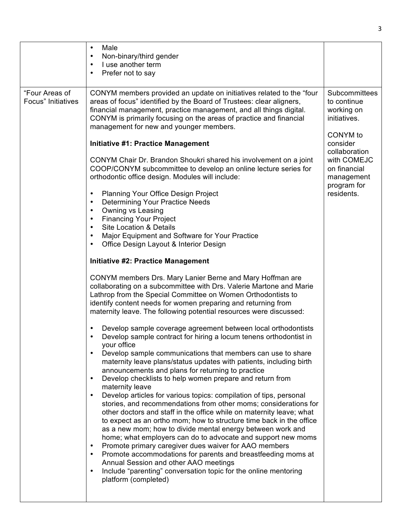|                                      | Male<br>$\bullet$<br>Non-binary/third gender<br>$\bullet$<br>I use another term<br>Prefer not to say                                                                                                                                                                                                                                                                                                                                                                                                                                                                                                                                                                                                                                                                                                                                                                                                                                                                                                                                                                                                                                                                                                                                                                                                                                                                                                                                                                                                                                                                                                                                                                                                                                                                                                                                                                                                                                                                                                                                                                                                                                                                                                                                                                                                                                                                                       |                                                                                                                                                                               |
|--------------------------------------|--------------------------------------------------------------------------------------------------------------------------------------------------------------------------------------------------------------------------------------------------------------------------------------------------------------------------------------------------------------------------------------------------------------------------------------------------------------------------------------------------------------------------------------------------------------------------------------------------------------------------------------------------------------------------------------------------------------------------------------------------------------------------------------------------------------------------------------------------------------------------------------------------------------------------------------------------------------------------------------------------------------------------------------------------------------------------------------------------------------------------------------------------------------------------------------------------------------------------------------------------------------------------------------------------------------------------------------------------------------------------------------------------------------------------------------------------------------------------------------------------------------------------------------------------------------------------------------------------------------------------------------------------------------------------------------------------------------------------------------------------------------------------------------------------------------------------------------------------------------------------------------------------------------------------------------------------------------------------------------------------------------------------------------------------------------------------------------------------------------------------------------------------------------------------------------------------------------------------------------------------------------------------------------------------------------------------------------------------------------------------------------------|-------------------------------------------------------------------------------------------------------------------------------------------------------------------------------|
| "Four Areas of<br>Focus" Initiatives | CONYM members provided an update on initiatives related to the "four<br>areas of focus" identified by the Board of Trustees: clear aligners,<br>financial management, practice management, and all things digital.<br>CONYM is primarily focusing on the areas of practice and financial<br>management for new and younger members.<br><b>Initiative #1: Practice Management</b><br>CONYM Chair Dr. Brandon Shoukri shared his involvement on a joint<br>COOP/CONYM subcommittee to develop an online lecture series for<br>orthodontic office design. Modules will include:<br>Planning Your Office Design Project<br><b>Determining Your Practice Needs</b><br>Owning vs Leasing<br><b>Financing Your Project</b><br><b>Site Location &amp; Details</b><br>Major Equipment and Software for Your Practice<br>Office Design Layout & Interior Design<br><b>Initiative #2: Practice Management</b><br>CONYM members Drs. Mary Lanier Berne and Mary Hoffman are<br>collaborating on a subcommittee with Drs. Valerie Martone and Marie<br>Lathrop from the Special Committee on Women Orthodontists to<br>identify content needs for women preparing and returning from<br>maternity leave. The following potential resources were discussed:<br>Develop sample coverage agreement between local orthodontists<br>Develop sample contract for hiring a locum tenens orthodontist in<br>your office<br>Develop sample communications that members can use to share<br>maternity leave plans/status updates with patients, including birth<br>announcements and plans for returning to practice<br>Develop checklists to help women prepare and return from<br>$\bullet$<br>maternity leave<br>Develop articles for various topics: compilation of tips, personal<br>stories, and recommendations from other moms; considerations for<br>other doctors and staff in the office while on maternity leave; what<br>to expect as an ortho mom; how to structure time back in the office<br>as a new mom; how to divide mental energy between work and<br>home; what employers can do to advocate and support new moms<br>Promote primary caregiver dues waiver for AAO members<br>$\bullet$<br>Promote accommodations for parents and breastfeeding moms at<br>Annual Session and other AAO meetings<br>Include "parenting" conversation topic for the online mentoring<br>platform (completed) | Subcommittees<br>to continue<br>working on<br>initiatives.<br>CONYM to<br>consider<br>collaboration<br>with COMEJC<br>on financial<br>management<br>program for<br>residents. |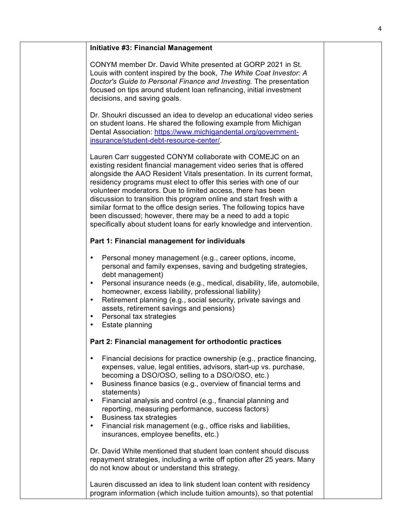| <b>Initiative #3: Financial Management</b>                                                                                                                                                                                                                                                                                                                                                                                                                                                                                                                                                                                               |
|------------------------------------------------------------------------------------------------------------------------------------------------------------------------------------------------------------------------------------------------------------------------------------------------------------------------------------------------------------------------------------------------------------------------------------------------------------------------------------------------------------------------------------------------------------------------------------------------------------------------------------------|
| CONYM member Dr. David White presented at GORP 2021 in St.<br>Louis with content inspired by the book, The White Coat Investor: A<br>Doctor's Guide to Personal Finance and Investing. The presentation<br>focused on tips around student loan refinancing, initial investment<br>decisions, and saving goals.                                                                                                                                                                                                                                                                                                                           |
| Dr. Shoukri discussed an idea to develop an educational video series<br>on student loans. He shared the following example from Michigan<br>Dental Association: https://www.michigandental.org/government-<br>insurance/student-debt-resource-center/.                                                                                                                                                                                                                                                                                                                                                                                    |
| Lauren Carr suggested CONYM collaborate with COMEJC on an<br>existing resident financial management video series that is offered<br>alongside the AAO Resident Vitals presentation. In its current format,<br>residency programs must elect to offer this series with one of our<br>volunteer moderators. Due to limited access, there has been<br>discussion to transition this program online and start fresh with a<br>similar format to the office design series. The following topics have<br>been discussed; however, there may be a need to add a topic<br>specifically about student loans for early knowledge and intervention. |
| Part 1: Financial management for individuals                                                                                                                                                                                                                                                                                                                                                                                                                                                                                                                                                                                             |
| Personal money management (e.g., career options, income,<br>٠<br>personal and family expenses, saving and budgeting strategies,<br>debt management)<br>Personal insurance needs (e.g., medical, disability, life, automobile,<br>$\bullet$<br>homeowner, excess liability, professional liability)<br>Retirement planning (e.g., social security, private savings and<br>$\bullet$<br>assets, retirement savings and pensions)<br>Personal tax strategies<br>٠<br>Estate planning<br>٠                                                                                                                                                   |
| Part 2: Financial management for orthodontic practices                                                                                                                                                                                                                                                                                                                                                                                                                                                                                                                                                                                   |
| Financial decisions for practice ownership (e.g., practice financing,<br>$\bullet$<br>expenses, value, legal entities, advisors, start-up vs. purchase,<br>becoming a DSO/OSO, selling to a DSO/OSO, etc.)<br>Business finance basics (e.g., overview of financial terms and<br>$\bullet$<br>statements)<br>Financial analysis and control (e.g., financial planning and<br>$\bullet$<br>reporting, measuring performance, success factors)                                                                                                                                                                                              |
| Business tax strategies<br>$\bullet$<br>Financial risk management (e.g., office risks and liabilities,<br>$\bullet$<br>insurances, employee benefits, etc.)                                                                                                                                                                                                                                                                                                                                                                                                                                                                              |
| Dr. David White mentioned that student loan content should discuss<br>repayment strategies, including a write off option after 25 years. Many<br>do not know about or understand this strategy.                                                                                                                                                                                                                                                                                                                                                                                                                                          |
| Lauren discussed an idea to link student loan content with residency<br>program information (which include tuition amounts), so that potential                                                                                                                                                                                                                                                                                                                                                                                                                                                                                           |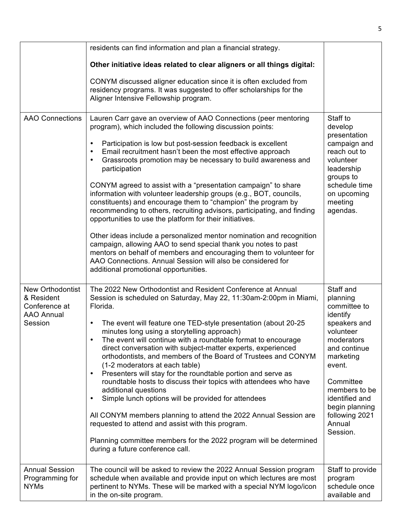|                                                                                        | residents can find information and plan a financial strategy.                                                                                                                                                                                                                                                                                                                                                                                                                                                                                                                                                                                                                                                                                                                                                                                                                                                                                                                                                     |                                                                                                                                                                                                                                               |
|----------------------------------------------------------------------------------------|-------------------------------------------------------------------------------------------------------------------------------------------------------------------------------------------------------------------------------------------------------------------------------------------------------------------------------------------------------------------------------------------------------------------------------------------------------------------------------------------------------------------------------------------------------------------------------------------------------------------------------------------------------------------------------------------------------------------------------------------------------------------------------------------------------------------------------------------------------------------------------------------------------------------------------------------------------------------------------------------------------------------|-----------------------------------------------------------------------------------------------------------------------------------------------------------------------------------------------------------------------------------------------|
|                                                                                        | Other initiative ideas related to clear aligners or all things digital:                                                                                                                                                                                                                                                                                                                                                                                                                                                                                                                                                                                                                                                                                                                                                                                                                                                                                                                                           |                                                                                                                                                                                                                                               |
|                                                                                        | CONYM discussed aligner education since it is often excluded from<br>residency programs. It was suggested to offer scholarships for the<br>Aligner Intensive Fellowship program.                                                                                                                                                                                                                                                                                                                                                                                                                                                                                                                                                                                                                                                                                                                                                                                                                                  |                                                                                                                                                                                                                                               |
| <b>AAO Connections</b>                                                                 | Lauren Carr gave an overview of AAO Connections (peer mentoring<br>program), which included the following discussion points:<br>Participation is low but post-session feedback is excellent<br>Email recruitment hasn't been the most effective approach<br>Grassroots promotion may be necessary to build awareness and<br>participation<br>CONYM agreed to assist with a "presentation campaign" to share<br>information with volunteer leadership groups (e.g., BOT, councils,<br>constituents) and encourage them to "champion" the program by<br>recommending to others, recruiting advisors, participating, and finding<br>opportunities to use the platform for their initiatives.<br>Other ideas include a personalized mentor nomination and recognition<br>campaign, allowing AAO to send special thank you notes to past<br>mentors on behalf of members and encouraging them to volunteer for<br>AAO Connections. Annual Session will also be considered for<br>additional promotional opportunities. | Staff to<br>develop<br>presentation<br>campaign and<br>reach out to<br>volunteer<br>leadership<br>groups to<br>schedule time<br>on upcoming<br>meeting<br>agendas.                                                                            |
| <b>New Orthodontist</b><br>& Resident<br>Conference at<br><b>AAO Annual</b><br>Session | The 2022 New Orthodontist and Resident Conference at Annual<br>Session is scheduled on Saturday, May 22, 11:30am-2:00pm in Miami,<br>Florida.<br>The event will feature one TED-style presentation (about 20-25<br>$\bullet$<br>minutes long using a storytelling approach)<br>The event will continue with a roundtable format to encourage<br>direct conversation with subject-matter experts, experienced<br>orthodontists, and members of the Board of Trustees and CONYM<br>(1-2 moderators at each table)<br>Presenters will stay for the roundtable portion and serve as<br>$\bullet$<br>roundtable hosts to discuss their topics with attendees who have<br>additional questions<br>Simple lunch options will be provided for attendees<br>$\bullet$<br>All CONYM members planning to attend the 2022 Annual Session are<br>requested to attend and assist with this program.<br>Planning committee members for the 2022 program will be determined<br>during a future conference call.                   | Staff and<br>planning<br>committee to<br>identify<br>speakers and<br>volunteer<br>moderators<br>and continue<br>marketing<br>event.<br>Committee<br>members to be<br>identified and<br>begin planning<br>following 2021<br>Annual<br>Session. |
| <b>Annual Session</b><br>Programming for<br><b>NYMs</b>                                | The council will be asked to review the 2022 Annual Session program<br>schedule when available and provide input on which lectures are most<br>pertinent to NYMs. These will be marked with a special NYM logo/icon<br>in the on-site program.                                                                                                                                                                                                                                                                                                                                                                                                                                                                                                                                                                                                                                                                                                                                                                    | Staff to provide<br>program<br>schedule once<br>available and                                                                                                                                                                                 |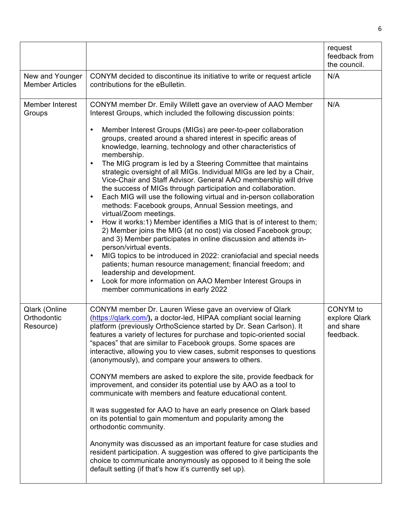|                                           |                                                                                                                                                                                                                                                                                                                                                                                                                                                                                                                                                                                                                                                                                                                                                                                                                                                                                                                                                                                                                                                                                                                                                                                                                                                                                                                                                   | request<br>feedback from<br>the council.            |
|-------------------------------------------|---------------------------------------------------------------------------------------------------------------------------------------------------------------------------------------------------------------------------------------------------------------------------------------------------------------------------------------------------------------------------------------------------------------------------------------------------------------------------------------------------------------------------------------------------------------------------------------------------------------------------------------------------------------------------------------------------------------------------------------------------------------------------------------------------------------------------------------------------------------------------------------------------------------------------------------------------------------------------------------------------------------------------------------------------------------------------------------------------------------------------------------------------------------------------------------------------------------------------------------------------------------------------------------------------------------------------------------------------|-----------------------------------------------------|
| New and Younger<br><b>Member Articles</b> | CONYM decided to discontinue its initiative to write or request article<br>contributions for the eBulletin.                                                                                                                                                                                                                                                                                                                                                                                                                                                                                                                                                                                                                                                                                                                                                                                                                                                                                                                                                                                                                                                                                                                                                                                                                                       | N/A                                                 |
| Member Interest<br>Groups                 | CONYM member Dr. Emily Willett gave an overview of AAO Member<br>Interest Groups, which included the following discussion points:<br>Member Interest Groups (MIGs) are peer-to-peer collaboration<br>groups, created around a shared interest in specific areas of<br>knowledge, learning, technology and other characteristics of<br>membership.<br>The MIG program is led by a Steering Committee that maintains<br>strategic oversight of all MIGs. Individual MIGs are led by a Chair,<br>Vice-Chair and Staff Advisor. General AAO membership will drive<br>the success of MIGs through participation and collaboration.<br>Each MIG will use the following virtual and in-person collaboration<br>$\bullet$<br>methods: Facebook groups, Annual Session meetings, and<br>virtual/Zoom meetings.<br>How it works:1) Member identifies a MIG that is of interest to them;<br>$\bullet$<br>2) Member joins the MIG (at no cost) via closed Facebook group;<br>and 3) Member participates in online discussion and attends in-<br>person/virtual events.<br>MIG topics to be introduced in 2022: craniofacial and special needs<br>patients; human resource management; financial freedom; and<br>leadership and development.<br>Look for more information on AAO Member Interest Groups in<br>$\bullet$<br>member communications in early 2022 | N/A                                                 |
| Qlark (Online<br>Orthodontic<br>Resource) | CONYM member Dr. Lauren Wiese gave an overview of Qlark<br>(https://glark.com/), a doctor-led, HIPAA compliant social learning<br>platform (previously OrthoScience started by Dr. Sean Carlson). It<br>features a variety of lectures for purchase and topic-oriented social<br>"spaces" that are similar to Facebook groups. Some spaces are<br>interactive, allowing you to view cases, submit responses to questions<br>(anonymously), and compare your answers to others.<br>CONYM members are asked to explore the site, provide feedback for<br>improvement, and consider its potential use by AAO as a tool to<br>communicate with members and feature educational content.<br>It was suggested for AAO to have an early presence on Qlark based<br>on its potential to gain momentum and popularity among the<br>orthodontic community.<br>Anonymity was discussed as an important feature for case studies and<br>resident participation. A suggestion was offered to give participants the<br>choice to communicate anonymously as opposed to it being the sole<br>default setting (if that's how it's currently set up).                                                                                                                                                                                                              | CONYM to<br>explore Qlark<br>and share<br>feedback. |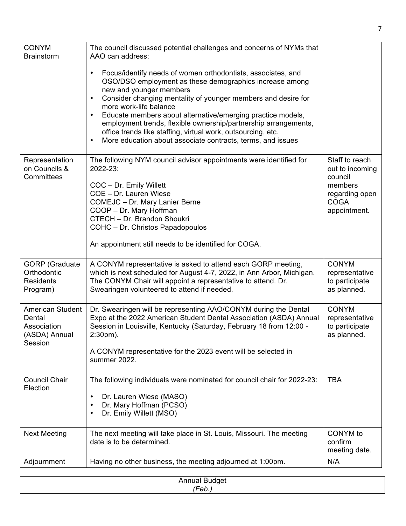| <b>CONYM</b><br><b>Brainstorm</b>                                     | The council discussed potential challenges and concerns of NYMs that<br>AAO can address:                                                                                                                                                                                                                                                                                                                                                                                                                       |                                                                                                          |
|-----------------------------------------------------------------------|----------------------------------------------------------------------------------------------------------------------------------------------------------------------------------------------------------------------------------------------------------------------------------------------------------------------------------------------------------------------------------------------------------------------------------------------------------------------------------------------------------------|----------------------------------------------------------------------------------------------------------|
|                                                                       | Focus/identify needs of women orthodontists, associates, and<br>OSO/DSO employment as these demographics increase among<br>new and younger members<br>Consider changing mentality of younger members and desire for<br>more work-life balance<br>Educate members about alternative/emerging practice models,<br>employment trends, flexible ownership/partnership arrangements,<br>office trends like staffing, virtual work, outsourcing, etc.<br>More education about associate contracts, terms, and issues |                                                                                                          |
| Representation<br>on Councils &<br>Committees                         | The following NYM council advisor appointments were identified for<br>2022-23:<br>COC - Dr. Emily Willett<br>COE - Dr. Lauren Wiese<br>COMEJC - Dr. Mary Lanier Berne<br>COOP - Dr. Mary Hoffman<br>CTECH - Dr. Brandon Shoukri<br>COHC - Dr. Christos Papadopoulos<br>An appointment still needs to be identified for COGA.                                                                                                                                                                                   | Staff to reach<br>out to incoming<br>council<br>members<br>regarding open<br><b>COGA</b><br>appointment. |
| <b>GORP</b> (Graduate<br>Orthodontic<br><b>Residents</b><br>Program)  | A CONYM representative is asked to attend each GORP meeting,<br>which is next scheduled for August 4-7, 2022, in Ann Arbor, Michigan.<br>The CONYM Chair will appoint a representative to attend. Dr.<br>Swearingen volunteered to attend if needed.                                                                                                                                                                                                                                                           | <b>CONYM</b><br>representative<br>to participate<br>as planned.                                          |
| American Student<br>Dental<br>Association<br>(ASDA) Annual<br>Session | Dr. Swearingen will be representing AAO/CONYM during the Dental<br>Expo at the 2022 American Student Dental Association (ASDA) Annual<br>Session in Louisville, Kentucky (Saturday, February 18 from 12:00 -<br>$2:30pm$ ).<br>A CONYM representative for the 2023 event will be selected in<br>summer 2022.                                                                                                                                                                                                   | <b>CONYM</b><br>representative<br>to participate<br>as planned.                                          |
| <b>Council Chair</b><br>Election                                      | The following individuals were nominated for council chair for 2022-23:<br>Dr. Lauren Wiese (MASO)<br>Dr. Mary Hoffman (PCSO)<br>Dr. Emily Willett (MSO)                                                                                                                                                                                                                                                                                                                                                       | <b>TBA</b>                                                                                               |
| <b>Next Meeting</b>                                                   | The next meeting will take place in St. Louis, Missouri. The meeting<br>date is to be determined.                                                                                                                                                                                                                                                                                                                                                                                                              | CONYM to<br>confirm<br>meeting date.                                                                     |
| Adjournment                                                           | Having no other business, the meeting adjourned at 1:00pm.                                                                                                                                                                                                                                                                                                                                                                                                                                                     | N/A                                                                                                      |

| <b>M</b>    |  |
|-------------|--|
| <b>′Cへん</b> |  |
|             |  |